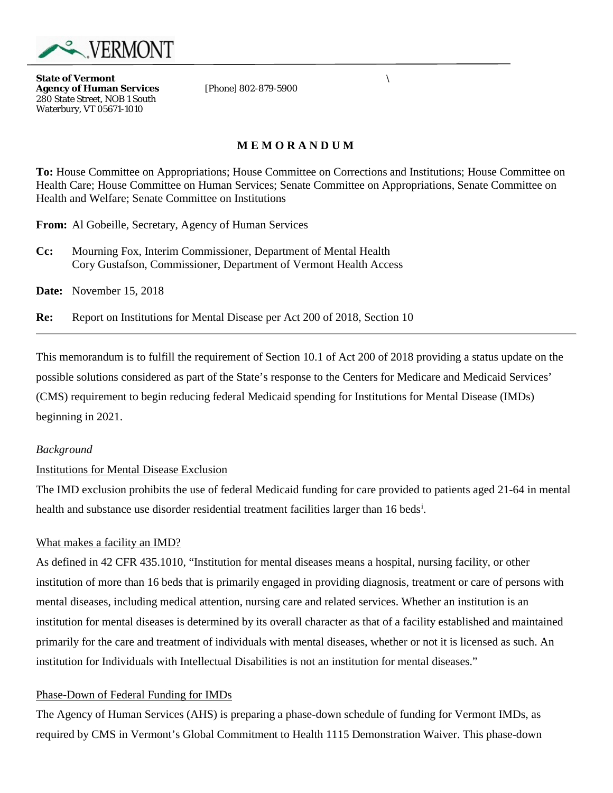

**State of Vermont** *\* **Agency of Human Services** 280 State Street, NOB 1 South Waterbury, VT 05671-1010

# **M E M O R A N D U M**

**To:** House Committee on Appropriations; House Committee on Corrections and Institutions; House Committee on Health Care; House Committee on Human Services; Senate Committee on Appropriations, Senate Committee on Health and Welfare; Senate Committee on Institutions

**From:** Al Gobeille, Secretary, Agency of Human Services

**Cc:** Mourning Fox, Interim Commissioner, Department of Mental Health Cory Gustafson, Commissioner, Department of Vermont Health Access

**Date:** November 15, 2018

**Re:** Report on Institutions for Mental Disease per Act 200 of 2018, Section 10

This memorandum is to fulfill the requirement of Section 10.1 of Act 200 of 2018 providing a status update on the possible solutions considered as part of the State's response to the Centers for Medicare and Medicaid Services' (CMS) requirement to begin reducing federal Medicaid spending for Institutions for Mental Disease (IMDs) beginning in 2021.

### *Background*

### Institutions for Mental Disease Exclusion

The IMD exclusion prohibits the use of federal Medicaid funding for care provided to patients aged 21-64 in mental health and substance use d[i](#page-1-0)sorder residential treatment facilities larger than 16 beds<sup>i</sup>.

### What makes a facility an IMD?

As defined in 42 CFR 435.1010, "Institution for mental diseases means a hospital, nursing facility, or other institution of more than 16 beds that is primarily engaged in providing diagnosis, treatment or care of persons with mental diseases, including medical attention, nursing care and related services. Whether an institution is an institution for mental diseases is determined by its overall character as that of a facility established and maintained primarily for the care and treatment of individuals with mental diseases, whether or not it is licensed as such. An institution for Individuals with Intellectual Disabilities is not an institution for mental diseases."

### Phase-Down of Federal Funding for IMDs

The Agency of Human Services (AHS) is preparing a phase-down schedule of funding for Vermont IMDs, as required by CMS in Vermont's Global Commitment to Health 1115 Demonstration Waiver. This phase-down